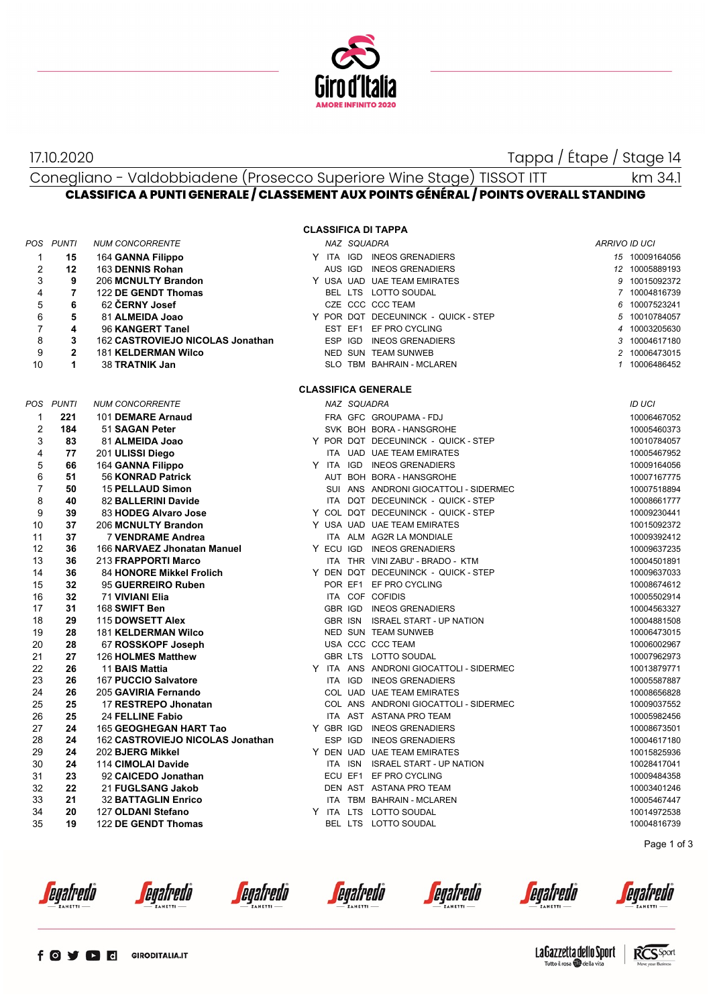

17.10.2020 Tappa / Étape / Stage 14

## Conegliano - Valdobbiadene (Prosecco Superiore Wine Stage) TISSOT ITT **CLASSIFICA A PUNTI GENERALE / CLASSEMENT AUX POINTS GÉNÉRAL / POINTS OVERALL STANDING** km 34.1

|                |                |                                  |  |             | <b>CLASSIFICA DI TAPPA</b>              |               |                |
|----------------|----------------|----------------------------------|--|-------------|-----------------------------------------|---------------|----------------|
|                | POS PUNTI      | <b>NUM CONCORRENTE</b>           |  | NAZ SQUADRA |                                         | ARRIVO ID UCI |                |
| 1              | 15             | 164 GANNA Filippo                |  |             | Y ITA IGD INEOS GRENADIERS              |               | 15 10009164056 |
| $\overline{2}$ | 12             | 163 DENNIS Rohan                 |  |             | AUS IGD INEOS GRENADIERS                |               | 12 10005889193 |
| 3              | 9              | 206 MCNULTY Brandon              |  |             | Y USA UAD UAE TEAM EMIRATES             |               | 9 10015092372  |
| 4              | $\overline{7}$ | 122 DE GENDT Thomas              |  |             | BEL LTS LOTTO SOUDAL                    |               | 7 10004816739  |
| 5              | 6              | 62 ČERNY Josef                   |  |             | CZE CCC CCC TEAM                        |               | 6 10007523241  |
| 6              | 5              | 81 ALMEIDA Joao                  |  |             | Y POR DQT DECEUNINCK - QUICK - STEP     |               | 5 10010784057  |
| 7              | 4              | 96 KANGERT Tanel                 |  |             | EST EF1 EF PRO CYCLING                  |               | 4 10003205630  |
| 8              | 3              | 162 CASTROVIEJO NICOLAS Jonathan |  |             | ESP IGD INEOS GRENADIERS                |               | 3 10004617180  |
| 9              | $\overline{2}$ | <b>181 KELDERMAN Wilco</b>       |  |             | NED SUN TEAM SUNWEB                     |               | 2 10006473015  |
| 10             | $\mathbf{1}$   | 38 TRATNIK Jan                   |  |             | SLO TBM BAHRAIN - MCLAREN               |               | 1 10006486452  |
|                |                |                                  |  |             | <b>CLASSIFICA GENERALE</b>              |               |                |
|                | POS PUNTI      | <b>NUM CONCORRENTE</b>           |  | NAZ SQUADRA |                                         |               | ID UCI         |
| $\mathbf{1}$   | 221            | 101 DEMARE Arnaud                |  |             | FRA GFC GROUPAMA - FDJ                  |               | 10006467052    |
| $\overline{2}$ | 184            | 51 SAGAN Peter                   |  |             | SVK BOH BORA - HANSGROHE                |               | 10005460373    |
| 3              | 83             | 81 ALMEIDA Joao                  |  |             | Y POR DQT DECEUNINCK - QUICK - STEP     |               | 10010784057    |
| 4              | 77             | 201 ULISSI Diego                 |  |             | ITA UAD UAE TEAM EMIRATES               |               | 10005467952    |
| 5              | 66             | 164 GANNA Filippo                |  |             | Y ITA IGD INEOS GRENADIERS              |               | 10009164056    |
| 6              | 51             | 56 KONRAD Patrick                |  |             | AUT BOH BORA - HANSGROHE                |               | 10007167775    |
| $\overline{7}$ | 50             | <b>15 PELLAUD Simon</b>          |  |             | SUI ANS ANDRONI GIOCATTOLI - SIDERMEC   |               | 10007518894    |
| 8              | 40             | 82 BALLERINI Davide              |  |             | ITA DQT DECEUNINCK - QUICK - STEP       |               | 10008661777    |
| 9              | 39             | 83 HODEG Alvaro Jose             |  |             | Y COL DQT DECEUNINCK - QUICK - STEP     |               | 10009230441    |
| 10             | 37             | 206 MCNULTY Brandon              |  |             | Y USA UAD UAE TEAM EMIRATES             |               | 10015092372    |
| 11             | 37             | <b>7 VENDRAME Andrea</b>         |  |             | ITA ALM AG2R LA MONDIALE                |               | 10009392412    |
| 12             | 36             | 166 NARVAEZ Jhonatan Manuel      |  |             | Y ECU IGD INEOS GRENADIERS              |               | 10009637235    |
| 13             | 36             | 213 FRAPPORTI Marco              |  |             | ITA THR VINI ZABU' - BRADO - KTM        |               | 10004501891    |
| 14             | 36             | 84 HONORE Mikkel Frolich         |  |             | Y DEN DQT DECEUNINCK - QUICK - STEP     |               | 10009637033    |
| 15             | 32             | 95 GUERREIRO Ruben               |  |             | POR EF1 EF PRO CYCLING                  |               | 10008674612    |
| 16             | 32             | 71 VIVIANI Elia                  |  |             | ITA COF COFIDIS                         |               | 10005502914    |
| 17             | 31             | 168 SWIFT Ben                    |  |             | GBR IGD INEOS GRENADIERS                |               | 10004563327    |
| 18             | 29             | 115 DOWSETT Alex                 |  |             | GBR ISN ISRAEL START - UP NATION        |               | 10004881508    |
| 19             | 28             | <b>181 KELDERMAN Wilco</b>       |  |             | NED SUN TEAM SUNWEB                     |               | 10006473015    |
| 20             | 28             | 67 ROSSKOPF Joseph               |  |             | USA CCC CCC TEAM                        |               | 10006002967    |
| 21             | 27             | 126 HOLMES Matthew               |  |             | GBR LTS LOTTO SOUDAL                    |               | 10007962973    |
| 22             | 26             | 11 BAIS Mattia                   |  |             | Y ITA ANS ANDRONI GIOCATTOLI - SIDERMEC |               | 10013879771    |
| 23             | 26             | 167 PUCCIO Salvatore             |  |             | ITA IGD INEOS GRENADIERS                |               | 10005587887    |
| 24             | 26             | 205 GAVIRIA Fernando             |  |             | COL UAD UAE TEAM EMIRATES               |               | 10008656828    |
| 25             | 25             | 17 RESTREPO Jhonatan             |  |             | COL ANS ANDRONI GIOCATTOLI - SIDERMEC   |               | 10009037552    |
| 26             | 25             | 24 FELLINE Fabio                 |  |             | ITA AST ASTANA PRO TEAM                 |               | 10005982456    |
| 27             | 24             | 165 GEOGHEGAN HART Tao           |  |             | Y GBR IGD INEOS GRENADIERS              |               | 10008673501    |
| 28             | 24             | 162 CASTROVIEJO NICOLAS Jonathan |  |             | ESP IGD INEOS GRENADIERS                |               | 10004617180    |
| 29             | 24             | 202 BJERG Mikkel                 |  |             | Y DEN UAD UAE TEAM EMIRATES             |               | 10015825936    |
| 30             | 24             | 114 CIMOLAI Davide               |  |             | ITA ISN ISRAEL START - UP NATION        |               | 10028417041    |
| 31             | 23             | 92 CAICEDO Jonathan              |  |             | ECU EF1 EF PRO CYCLING                  |               | 10009484358    |
| 32             | 22             | 21 FUGLSANG Jakob                |  |             | DEN AST ASTANA PRO TEAM                 |               | 10003401246    |
| 33             | 21             | <b>32 BATTAGLIN Enrico</b>       |  |             | ITA TBM BAHRAIN - MCLAREN               |               | 10005467447    |
| 34             | 20             | 127 OLDANI Stefano               |  |             | Y ITA LTS LOTTO SOUDAL                  |               | 10014972538    |
| 35             | 19             | 122 DE GENDT Thomas              |  |             | BEL LTS LOTTO SOUDAL                    |               | 10004816739    |
|                |                |                                  |  |             |                                         |               |                |

Page 1 of 3

*<u>egafredo</u>* 

egafredò

*<u>egafredò</u>* 

*<u>egafredo</u>* 

*<u>egafredo</u>* 

*<u>egafredo</u>* 



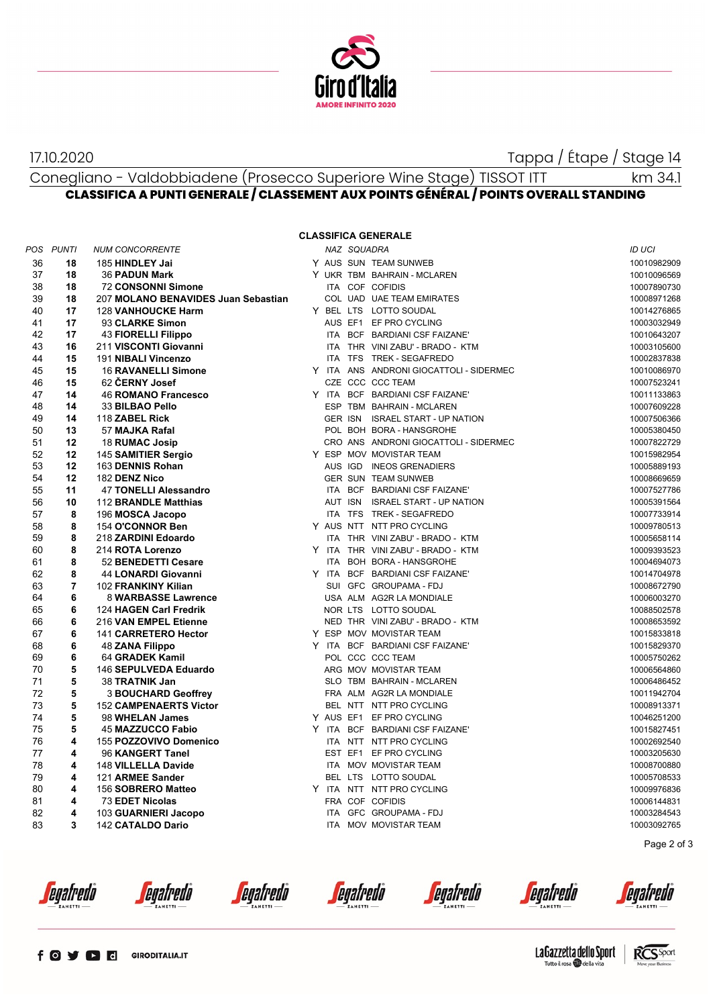

17.10.2020 Tappa / Étape / Stage 14

## Conegliano - Valdobbiadene (Prosecco Superiore Wine Stage) TISSOT ITT **CLASSIFICA A PUNTI GENERALE / CLASSEMENT AUX POINTS GÉNÉRAL / POINTS OVERALL STANDING** km 34.1

## **CLASSIFICA GENERALE**

|    | POS PUNTI      | <b>NUM CONCORRENTE</b>              |            | NAZ SQUADRA |                                         | ID UCI      |
|----|----------------|-------------------------------------|------------|-------------|-----------------------------------------|-------------|
| 36 | 18             | 185 HINDLEY Jai                     |            |             | Y AUS SUN TEAM SUNWEB                   | 10010982909 |
| 37 | 18             | <b>36 PADUN Mark</b>                |            |             | Y UKR TBM BAHRAIN - MCLAREN             | 10010096569 |
| 38 | 18             | <b>72 CONSONNI Simone</b>           |            |             | ITA COF COFIDIS                         | 10007890730 |
| 39 | 18             | 207 MOLANO BENAVIDES Juan Sebastian |            |             | COL UAD UAE TEAM EMIRATES               | 10008971268 |
| 40 | 17             | <b>128 VANHOUCKE Harm</b>           |            |             | Y BEL LTS LOTTO SOUDAL                  | 10014276865 |
| 41 | 17             | 93 CLARKE Simon                     |            |             | AUS EF1 EF PRO CYCLING                  | 10003032949 |
| 42 | 17             | <b>43 FIORELLI Filippo</b>          |            |             | ITA BCF BARDIANI CSF FAIZANE'           | 10010643207 |
| 43 | 16             | 211 VISCONTI Giovanni               |            |             | ITA THR VINI ZABU' - BRADO - KTM        | 10003105600 |
| 44 | 15             | 191 NIBALI Vincenzo                 |            |             | ITA TFS TREK - SEGAFREDO                | 10002837838 |
| 45 | 15             | <b>16 RAVANELLI Simone</b>          |            |             | Y ITA ANS ANDRONI GIOCATTOLI - SIDERMEC | 10010086970 |
| 46 | 15             | 62 CERNY Josef                      |            |             | CZE CCC CCC TEAM                        | 10007523241 |
| 47 | 14             | <b>46 ROMANO Francesco</b>          |            |             | Y ITA BCF BARDIANI CSF FAIZANE'         | 10011133863 |
| 48 | 14             | 33 BILBAO Pello                     |            |             | ESP TBM BAHRAIN - MCLAREN               | 10007609228 |
| 49 | 14             | 118 ZABEL Rick                      |            |             | GER ISN ISRAEL START - UP NATION        | 10007506366 |
| 50 | 13             | 57 MAJKA Rafal                      |            |             | POL BOH BORA - HANSGROHE                | 10005380450 |
| 51 | 12             | 18 RUMAC Josip                      |            |             | CRO ANS ANDRONI GIOCATTOLI - SIDERMEC   | 10007822729 |
| 52 | 12             | 145 SAMITIER Sergio                 | Y ESP      |             | MOV MOVISTAR TEAM                       | 10015982954 |
| 53 | 12             | 163 DENNIS Rohan                    |            |             | AUS IGD INEOS GRENADIERS                | 10005889193 |
| 54 | 12             | 182 DENZ Nico                       |            |             | <b>GER SUN TEAM SUNWEB</b>              | 10008669659 |
| 55 | 11             | 47 TONELLI Alessandro               |            |             | ITA BCF BARDIANI CSF FAIZANE'           | 10007527786 |
| 56 | 10             | 112 BRANDLE Matthias                |            |             | AUT ISN ISRAEL START - UP NATION        | 10005391564 |
| 57 | 8              | 196 MOSCA Jacopo                    |            |             | ITA TFS TREK - SEGAFREDO                | 10007733914 |
| 58 | 8              | 154 O'CONNOR Ben                    |            |             | Y AUS NTT NTT PRO CYCLING               | 10009780513 |
| 59 | 8              | 218 ZARDINI Edoardo                 |            |             | ITA THR VINI ZABU' - BRADO - KTM        | 10005658114 |
| 60 | 8              | 214 ROTA Lorenzo                    |            |             | Y ITA THR VINI ZABU' - BRADO - KTM      | 10009393523 |
| 61 | 8              | 52 BENEDETTI Cesare                 | <b>ITA</b> |             | BOH BORA - HANSGROHE                    | 10004694073 |
| 62 | 8              | 44 LONARDI Giovanni                 |            |             | Y ITA BCF BARDIANI CSF FAIZANE'         | 10014704978 |
| 63 | $\overline{7}$ | 102 FRANKINY Kilian                 |            |             | SUI GFC GROUPAMA - FDJ                  | 10008672790 |
| 64 | 6              | 8 WARBASSE Lawrence                 |            |             | USA ALM AG2R LA MONDIALE                | 10006003270 |
| 65 | 6              | 124 HAGEN Carl Fredrik              |            |             | NOR LTS LOTTO SOUDAL                    | 10088502578 |
| 66 | 6              | 216 VAN EMPEL Etienne               |            |             | NED THR VINI ZABU' - BRADO - KTM        | 10008653592 |
| 67 | 6              | 141 CARRETERO Hector                |            |             | Y ESP MOV MOVISTAR TEAM                 | 10015833818 |
| 68 | 6              | 48 ZANA Filippo                     |            |             | Y ITA BCF BARDIANI CSF FAIZANE'         | 10015829370 |
| 69 | 6              | 64 GRADEK Kamil                     |            |             | POL CCC CCC TEAM                        | 10005750262 |
| 70 | 5              | 146 SEPULVEDA Eduardo               |            |             | ARG MOV MOVISTAR TEAM                   | 10006564860 |
| 71 | 5              | 38 TRATNIK Jan                      |            |             | SLO TBM BAHRAIN - MCLAREN               | 10006486452 |
| 72 | 5              | <b>3 BOUCHARD Geoffrey</b>          |            |             | FRA ALM AG2R LA MONDIALE                | 10011942704 |
| 73 | 5              | <b>152 CAMPENAERTS Victor</b>       |            |             | BEL NTT NTT PRO CYCLING                 | 10008913371 |
| 74 | 5              | 98 WHELAN James                     |            |             | Y AUS EF1 EF PRO CYCLING                | 10046251200 |
| 75 | 5              | <b>45 MAZZUCCO Fabio</b>            |            |             | Y ITA BCF BARDIANI CSF FAIZANE'         | 10015827451 |
| 76 | 4              | 155 POZZOVIVO Domenico              |            |             | ITA NTT NTT PRO CYCLING                 | 10002692540 |
| 77 | 4              | 96 KANGERT Tanel                    |            |             | EST EF1 EF PRO CYCLING                  | 10003205630 |
| 78 | 4              | 148 VILLELLA Davide                 |            |             | ITA MOV MOVISTAR TEAM                   | 10008700880 |
| 79 | 4              | 121 ARMEE Sander                    |            |             | BEL LTS LOTTO SOUDAL                    | 10005708533 |
| 80 | 4              | 156 SOBRERO Matteo                  |            |             | Y ITA NTT NTT PRO CYCLING               | 10009976836 |
| 81 | 4              | 73 EDET Nicolas                     |            |             | FRA COF COFIDIS                         | 10006144831 |
| 82 | 4              | 103 GUARNIERI Jacopo                |            |             | ITA GFC GROUPAMA - FDJ                  | 10003284543 |
| 83 | 3              | 142 CATALDO Dario                   |            |             | ITA MOV MOVISTAR TEAM                   | 10003092765 |

Page 2 of 3

*<u>egafredò</u>* 

egafredò

*<u>egafredò</u>* 

*<u>egafredo</u>* 

*<u>egafredo</u>* 

*<u>egafredo</u>* 

egafredo